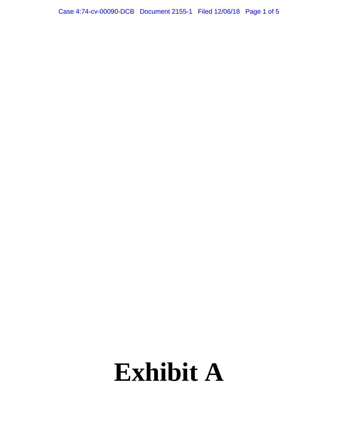Case 4:74-cv-00090-DCB Document 2155-1 Filed 12/06/18 Page 1 of 5

# **Exhibit A**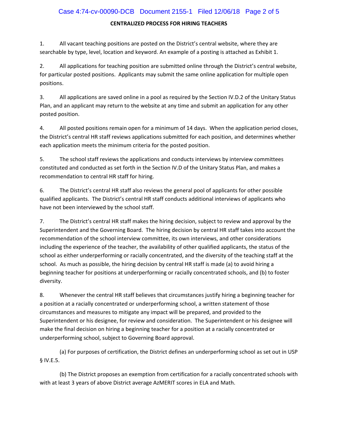## Case 4:74-cv-00090-DCB Document 2155-1 Filed 12/06/18 Page 2 of 5

## **CENTRALIZED PROCESS FOR HIRING TEACHERS**

1. All vacant teaching positions are posted on the District's central website, where they are searchable by type, level, location and keyword. An example of a posting is attached as Exhibit 1.

2. All applications for teaching position are submitted online through the District's central website, for particular posted positions. Applicants may submit the same online application for multiple open positions.

3. All applications are saved online in a pool as required by the Section IV.D.2 of the Unitary Status Plan, and an applicant may return to the website at any time and submit an application for any other posted position.

4. All posted positions remain open for a minimum of 14 days. When the application period closes, the District's central HR staff reviews applications submitted for each position, and determines whether each application meets the minimum criteria for the posted position.

5. The school staff reviews the applications and conducts interviews by interview committees constituted and conducted as set forth in the Section IV.D of the Unitary Status Plan, and makes a recommendation to central HR staff for hiring.

6. The District's central HR staff also reviews the general pool of applicants for other possible qualified applicants. The District's central HR staff conducts additional interviews of applicants who have not been interviewed by the school staff.

7. The District's central HR staff makes the hiring decision, subject to review and approval by the Superintendent and the Governing Board. The hiring decision by central HR staff takes into account the recommendation of the school interview committee, its own interviews, and other considerations including the experience of the teacher, the availability of other qualified applicants, the status of the school as either underperforming or racially concentrated, and the diversity of the teaching staff at the school. As much as possible, the hiring decision by central HR staff is made (a) to avoid hiring a beginning teacher for positions at underperforming or racially concentrated schools, and (b) to foster diversity.

8. Whenever the central HR staff believes that circumstances justify hiring a beginning teacher for a position at a racially concentrated or underperforming school, a written statement of those circumstances and measures to mitigate any impact will be prepared, and provided to the Superintendent or his designee, for review and consideration. The Superintendent or his designee will make the final decision on hiring a beginning teacher for a position at a racially concentrated or underperforming school, subject to Governing Board approval.

(a) For purposes of certification, the District defines an underperforming school as set out in USP § IV.E.5.

(b) The District proposes an exemption from certification for a racially concentrated schools with with at least 3 years of above District average AzMERIT scores in ELA and Math.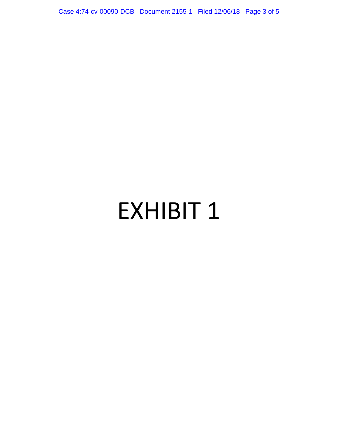Case 4:74-cv-00090-DCB Document 2155-1 Filed 12/06/18 Page 3 of 5

## EXHIBIT 1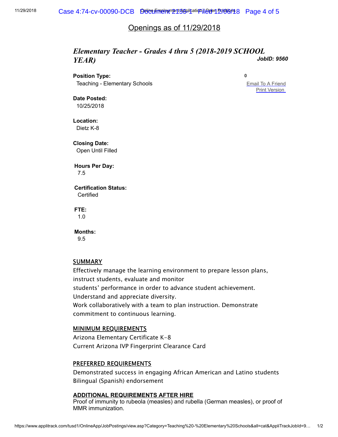## Openings as of 11/29/2018

#### *JobID: 9560 Elementary Teacher - Grades 4 thru 5 (2018-2019 SCHOOL YEAR)*

**Position Type:**

**0**

Teaching - Elementary Schools

[Email To A Friend](mailto:?subject=Job%20Posting&body=I%20thought%20you%20would%20be%20interested%20in%20an%20employment%20opportunity%20I%20found%20at%20Tucson%20Unified%20School%20District%2E%20The%20position%20is%20Elementary%20Teacher%20%2D%20Grades%204%20thru%205%20%282018%2D2019%20SCHOOL%20YEAR%29%2E%20Please%20click%20the%20link%20below%20for%20more%20information%20about%20this%20vacancy%2E%0D%0A%0D%0Ahttps%3A%2F%2Fwww%2Eapplitrack%2Ecom%2Ftusd1%2FOnlineApp%2FJobPostings%2Fview%2Easp%3FCategory%3DTeaching%2520%2D%2520Elementary%2520Schools%26all%3Dcat%26AppliTrackJobId%3D9560%26AppliTrackLayoutMode%3Ddetail%26AppliTrackViewPosting%3D1) **[Print Version](https://www.applitrack.com/tusd1/OnlineApp/JobPostings/view.asp?Category=Teaching%20-%20Elementary%20Schools&all=cat&AppliTrackJobId=9560&AppliTrackLayoutMode=detail&AppliTrackViewPosting=1)** 

**Date Posted:** 10/25/2018

**Location:** Dietz K-8

**Closing Date:** Open Until Filled

**Hours Per Day:** 7.5

**Certification Status: Certified** 

**FTE:** 1.0

**Months:** 9.5

**SUMMARY** 

Effectively manage the learning environment to prepare lesson plans, instruct students, evaluate and monitor students' performance in order to advance student achievement. Understand and appreciate diversity. Work collaboratively with a team to plan instruction. Demonstrate commitment to continuous learning.

### MINIMUM REQUIREMENTS

Arizona Elementary Certificate K-8 Current Arizona IVP Fingerprint Clearance Card

## PREFERRED REQUIREMENTS

Demonstrated success in engaging African American and Latino students Bilingual (Spanish) endorsement

#### **ADDITIONAL REQUIREMENTS AFTER HIRE**

Proof of immunity to rubeola (measles) and rubella (German measles), or proof of MMR immunization.